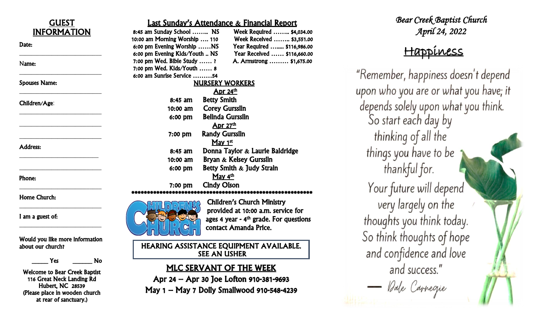| <b>GUEST</b><br><b>INFORMATION</b>                 | <b>Last Sunday's Attendance &amp; Financial Report</b><br>8:45 am Sunday School  NS<br>Week Required  \$4,034.00           |     |
|----------------------------------------------------|----------------------------------------------------------------------------------------------------------------------------|-----|
| Date:                                              | 10:00 am Morning Worship  110<br>Week Received  \$3,551.00                                                                 |     |
|                                                    | 6:00 pm Evening Worship NS<br>Year Required  \$116,986.00<br>6:00 pm Evening Kids/Youth  NS<br>Year Received  \$116,660.00 |     |
|                                                    | 7:00 pm Wed. Bible Study ?<br>A. Armstrong  \$1,675.00                                                                     |     |
| Name:                                              | 7:00 pm Wed. Kids/Youth  8                                                                                                 |     |
| <b>Spouses Name:</b>                               | 6:00 am Sunrise Service 54                                                                                                 | "R  |
|                                                    | <b>NURSERY WORKERS</b>                                                                                                     |     |
|                                                    | Apr $24th$                                                                                                                 | upo |
| Children/Age:                                      | <b>Betty Smith</b><br>$8:45$ am                                                                                            |     |
|                                                    | <b>Corey Gursslin</b><br>10:00 am                                                                                          | de  |
|                                                    | <b>Belinda Gursslin</b><br>6:00 pm                                                                                         |     |
|                                                    | Apr $27th$                                                                                                                 |     |
|                                                    | <b>Randy Gursslin</b><br>7:00 pm                                                                                           |     |
|                                                    | May $1st$                                                                                                                  |     |
| <b>Address:</b>                                    | Donna Taylor & Laurie Baldridge<br>8:45 am                                                                                 |     |
|                                                    | Bryan & Kelsey Gursslin<br>$10:00$ am                                                                                      |     |
|                                                    | Betty Smith & Judy Strain<br>6:00 pm                                                                                       |     |
|                                                    | May 4 <sup>th</sup>                                                                                                        |     |
| Phone:                                             | <b>Cindy Olson</b><br>$7:00$ pm                                                                                            |     |
|                                                    | ****************************                                                                                               |     |
| <b>Home Church:</b>                                | <b>Children's Church Ministry</b>                                                                                          |     |
|                                                    | provided at 10:00 a.m. service for                                                                                         |     |
| I am a guest of:                                   |                                                                                                                            |     |
|                                                    | ages 4 year - $4th$ grade. For questions                                                                                   | tı  |
|                                                    | contact Amanda Price.                                                                                                      |     |
| Would you like more information                    |                                                                                                                            |     |
| about our church?                                  | HEARING ASSISTANCE EQUIPMENT AVAILABLE.                                                                                    |     |
|                                                    | <b>SEE AN USHER</b>                                                                                                        |     |
| Yes<br>No                                          | <b>MLC SERVANT OF THE WEEK</b>                                                                                             |     |
| <b>Welcome to Bear Creek Baptist</b>               |                                                                                                                            |     |
| 116 Great Neck Landing Rd                          | Apr 24 – Apr 30 Joe Lofton 910-381-9693                                                                                    |     |
| Hubert, NC 28539<br>(Please place in wooden church | May 1 - May 7 Dolly Smallwood 910-548-4239                                                                                 |     |
| at rear of sanctuary.)                             |                                                                                                                            |     |
|                                                    |                                                                                                                            |     |

*Bear Creek Baptist Church April 24, 2022* 

# Happiness

emember, happiness doesn't depend on who you are or what you have; it pends solely upon what you think. So start each day by thinking of all the things you have to be thankful for. Your future will depend very largely on the houghts you think today. o think thoughts of hope and confidence and love and success." - Dale Carregie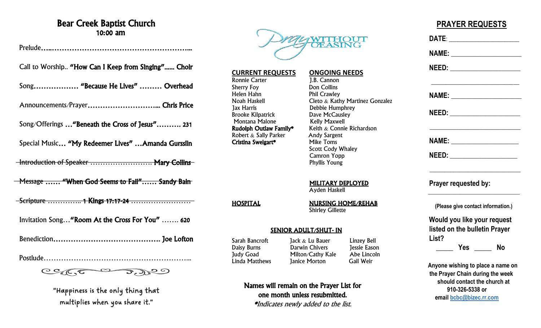### Bear Creek Baptist Church 10:00 am

Prelude…..………………………………………………... Call to Worship.. "How Can I Keep from Singing"...... Choir Song……………… "Because He Lives" ……… Overhead Announcements/Prayer………………………... Chris Price Song/Offerings …"Beneath the Cross of Jesus"………. 231 Special Music… "My Redeemer Lives" …Amanda Gursslin -Introduction of Speaker ........................... Mary Collins Message ...... "When God Seems to Fail"...... Sandy Bain Scripture ………….. 1 Kings 17:17-24 …………………… \_\_\_\_\_\_\_\_\_\_\_\_\_\_\_\_\_\_\_\_\_\_\_\_\_\_\_\_\_\_\_\_\_\_\_\_\_\_\_\_\_\_\_\_\_\_\_Invitation Song…"Room At the Cross For You" ……. 620 Benediction……………………………………. Joe Lofton Postlude…………………………………………………...

 $CC(C, C \rightarrow Q)$ 

"Happiness is the only thing that multiplies when you share it."



### **CURRENT REQUESTS ONGOING NEEDS**<br>
Ronnie Carter **1.B.** Cannon Ronnie Carter<br>Sherry Foy Sherry Foy Don Collins Helen Hahn Phil Crawley<br>Noah Haskell Cleto & Kath Jax Harris<br>Brooke Kilpatrick Dave McCausley Brooke Kilpatrick Montana Malone **Kelly Maxwell**<br>**Rudolph Outlaw Family\*** Keith & Connic

Cristina Sweigart\*

Cleto  $\&$  Kathy Martinez Gonzalez Keith  $&$  Connie Richardson Robert & Sally Parker Andy Sargent<br> **Cristina Sweigart\*** Mike Toms Scott Cody Whaley Camron Yopp Phyllis Young

#### MILITARY DEPLOYED

Ayden Haskell

HOSPITAL NURSING HOME/REHAB Shirley Gillette

#### SENIOR ADULT/SHUT- IN

Daisy Burns Darwin Chivers<br>
Judy Goad Milton/Cathy K

Sarah Bancroft Jack & Lu Bauer Linzey Bell<br>
Daisy Burns Darwin Chivers Jessie Eason Judy Goad Milton/Cathy Kale Abe Lincoln **Janice Morton** 

Names will remain on the Prayer List for one month unless resubmitted. \*Indicates newly added to the list.

## **PRAYER REQUESTS**

| DATE: _________________                                               |  |
|-----------------------------------------------------------------------|--|
|                                                                       |  |
|                                                                       |  |
|                                                                       |  |
|                                                                       |  |
|                                                                       |  |
| NEED: _________________                                               |  |
| Prayer requested by:                                                  |  |
| (Please give contact information.)                                    |  |
| Would you like your request                                           |  |
| listed on the bulletin Prayer                                         |  |
| List?                                                                 |  |
| <b>Example Struck Struck</b> No                                       |  |
| Anyone wishing to place a name on<br>the Prayer Chain during the week |  |
| should contact the church at                                          |  |
| 910-326-5338 or                                                       |  |
| email bcbc@bizec.rr.com                                               |  |